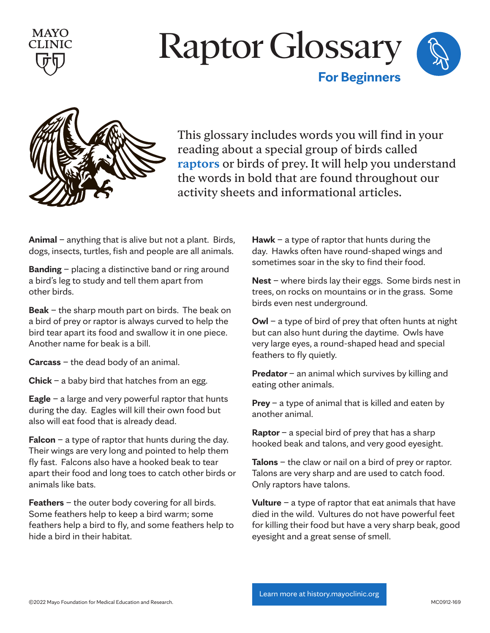





This glossary includes words you will find in your reading about a special group of birds called **raptors** or birds of prey. It will help you understand the words in bold that are found throughout our activity sheets and informational articles.

**Animal** – anything that is alive but not a plant. Birds, dogs, insects, turtles, fish and people are all animals.

**Banding** – placing a distinctive band or ring around a bird's leg to study and tell them apart from other birds.

**Beak** – the sharp mouth part on birds. The beak on a bird of prey or raptor is always curved to help the bird tear apart its food and swallow it in one piece. Another name for beak is a bill.

**Carcass** – the dead body of an animal.

**Chick** – a baby bird that hatches from an egg.

**Eagle** – a large and very powerful raptor that hunts during the day. Eagles will kill their own food but also will eat food that is already dead.

**Falcon** – a type of raptor that hunts during the day. Their wings are very long and pointed to help them fly fast. Falcons also have a hooked beak to tear apart their food and long toes to catch other birds or animals like bats.

**Feathers** – the outer body covering for all birds. Some feathers help to keep a bird warm; some feathers help a bird to fly, and some feathers help to hide a bird in their habitat.

**Hawk** – a type of raptor that hunts during the day. Hawks often have round-shaped wings and sometimes soar in the sky to find their food.

**Nest** – where birds lay their eggs. Some birds nest in trees, on rocks on mountains or in the grass. Some birds even nest underground.

**Owl** – a type of bird of prey that often hunts at night but can also hunt during the daytime. Owls have very large eyes, a round-shaped head and special feathers to fly quietly.

**Predator** – an animal which survives by killing and eating other animals.

**Prey** – a type of animal that is killed and eaten by another animal.

**Raptor** – a special bird of prey that has a sharp hooked beak and talons, and very good eyesight.

**Talons** – the claw or nail on a bird of prey or raptor. Talons are very sharp and are used to catch food. Only raptors have talons.

**Vulture** – a type of raptor that eat animals that have died in the wild. Vultures do not have powerful feet for killing their food but have a very sharp beak, good eyesight and a great sense of smell.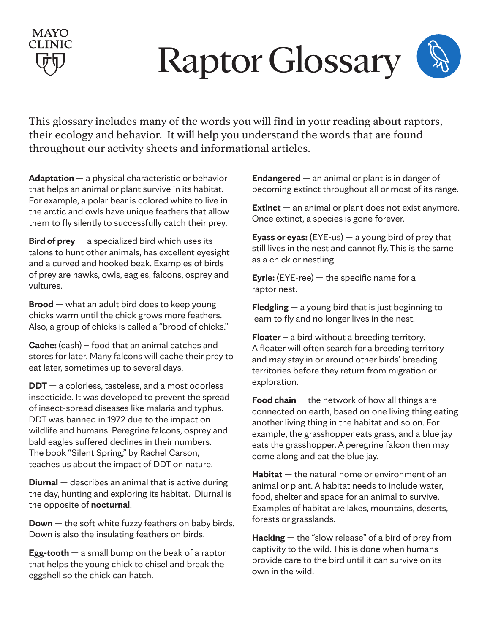# Raptor Glossary

This glossary includes many of the words you will find in your reading about raptors, their ecology and behavior. It will help you understand the words that are found throughout our activity sheets and informational articles.

**Adaptation** — a physical characteristic or behavior that helps an animal or plant survive in its habitat. For example, a polar bear is colored white to live in the arctic and owls have unique feathers that allow them to fly silently to successfully catch their prey.

**MAYO** 

**Bird of prey** — a specialized bird which uses its talons to hunt other animals, has excellent eyesight and a curved and hooked beak. Examples of birds of prey are hawks, owls, eagles, falcons, osprey and vultures.

**Brood** — what an adult bird does to keep young chicks warm until the chick grows more feathers. Also, a group of chicks is called a "brood of chicks."

**Cache:** (cash) – food that an animal catches and stores for later. Many falcons will cache their prey to eat later, sometimes up to several days.

**DDT** — a colorless, tasteless, and almost odorless insecticide. It was developed to prevent the spread of insect-spread diseases like malaria and typhus. DDT was banned in 1972 due to the impact on wildlife and humans. Peregrine falcons, osprey and bald eagles suffered declines in their numbers. The book "Silent Spring," by Rachel Carson, teaches us about the impact of DDT on nature.

**Diurnal** — describes an animal that is active during the day, hunting and exploring its habitat. Diurnal is the opposite of **nocturnal**.

**Down** — the soft white fuzzy feathers on baby birds. Down is also the insulating feathers on birds.

**Egg-tooth** — a small bump on the beak of a raptor that helps the young chick to chisel and break the eggshell so the chick can hatch.

**Endangered** — an animal or plant is in danger of becoming extinct throughout all or most of its range.

**Extinct** — an animal or plant does not exist anymore. Once extinct, a species is gone forever.

**Eyass or eyas:** (EYE-us)  $-$  a young bird of prey that still lives in the nest and cannot fly. This is the same as a chick or nestling.

**Eyrie:** (EYE-ree) — the specific name for a raptor nest.

**Fledgling** — a young bird that is just beginning to learn to fly and no longer lives in the nest.

**Floater** – a bird without a breeding territory. A floater will often search for a breeding territory and may stay in or around other birds' breeding territories before they return from migration or exploration.

**Food chain** — the network of how all things are connected on earth, based on one living thing eating another living thing in the habitat and so on. For example, the grasshopper eats grass, and a blue jay eats the grasshopper. A peregrine falcon then may come along and eat the blue jay.

**Habitat** — the natural home or environment of an animal or plant. A habitat needs to include water, food, shelter and space for an animal to survive. Examples of habitat are lakes, mountains, deserts, forests or grasslands.

**Hacking** — the "slow release" of a bird of prey from captivity to the wild. This is done when humans provide care to the bird until it can survive on its own in the wild.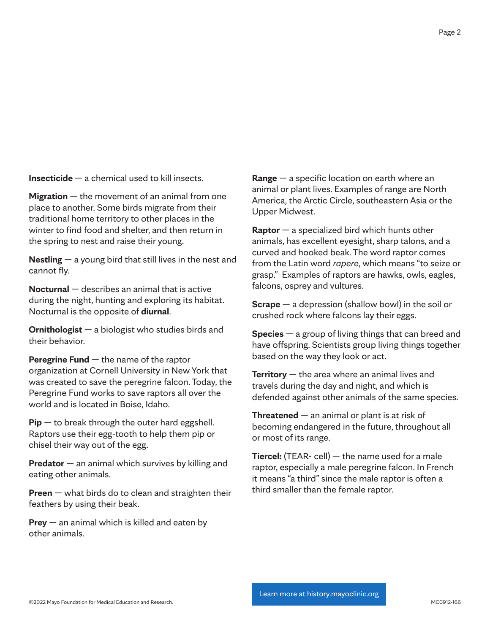**Insecticide** — a chemical used to kill insects.

**Migration** — the movement of an animal from one place to another. Some birds migrate from their traditional home territory to other places in the winter to find food and shelter, and then return in the spring to nest and raise their young.

**Nestling** — a young bird that still lives in the nest and cannot fly.

**Nocturnal** — describes an animal that is active during the night, hunting and exploring its habitat. Nocturnal is the opposite of **diurnal**.

**Ornithologist** — a biologist who studies birds and their behavior.

**Peregrine Fund** — the name of the raptor organization at Cornell University in New York that was created to save the peregrine falcon. Today, the Peregrine Fund works to save raptors all over the world and is located in Boise, Idaho.

**Pip** — to break through the outer hard eggshell. Raptors use their egg-tooth to help them pip or chisel their way out of the egg.

**Predator** — an animal which survives by killing and eating other animals.

**Preen** — what birds do to clean and straighten their feathers by using their beak.

**Prey** — an animal which is killed and eaten by other animals.

**Range** — a specific location on earth where an animal or plant lives. Examples of range are North America, the Arctic Circle, southeastern Asia or the Upper Midwest.

**Raptor** — a specialized bird which hunts other animals, has excellent eyesight, sharp talons, and a curved and hooked beak. The word raptor comes from the Latin word *rapere*, which means "to seize or grasp." Examples of raptors are hawks, owls, eagles, falcons, osprey and vultures.

**Scrape** — a depression (shallow bowl) in the soil or crushed rock where falcons lay their eggs.

**Species** — a group of living things that can breed and have offspring. Scientists group living things together based on the way they look or act.

**Territory** — the area where an animal lives and travels during the day and night, and which is defended against other animals of the same species.

**Threatened** — an animal or plant is at risk of becoming endangered in the future, throughout all or most of its range.

**Tiercel:** (TEAR- cell) — the name used for a male raptor, especially a male peregrine falcon. In French it means "a third" since the male raptor is often a third smaller than the female raptor.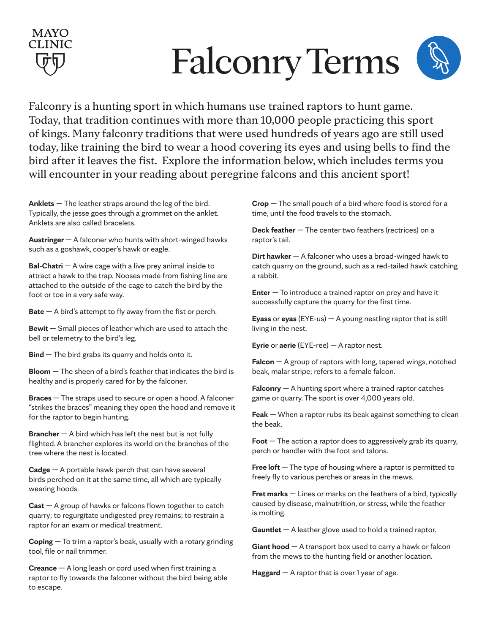# Falconry Terms

Falconry is a hunting sport in which humans use trained raptors to hunt game. Today, that tradition continues with more than 10,000 people practicing this sport of kings. Many falconry traditions that were used hundreds of years ago are still used today, like training the bird to wear a hood covering its eyes and using bells to find the bird after it leaves the fist. Explore the information below, which includes terms you will encounter in your reading about peregrine falcons and this ancient sport!

**Anklets** — The leather straps around the leg of the bird. Typically, the jesse goes through a grommet on the anklet. Anklets are also called bracelets.

**MAYO** 

**Austringer** — A falconer who hunts with short-winged hawks such as a goshawk, cooper's hawk or eagle.

**Bal-Chatri** – A wire cage with a live prey animal inside to attract a hawk to the trap. Nooses made from fishing line are attached to the outside of the cage to catch the bird by the foot or toe in a very safe way.

**Bate** — A bird's attempt to fly away from the fist or perch.

**Bewit** — Small pieces of leather which are used to attach the bell or telemetry to the bird's leg.

**Bind** — The bird grabs its quarry and holds onto it.

**Bloom** — The sheen of a bird's feather that indicates the bird is healthy and is properly cared for by the falconer.

**Braces** — The straps used to secure or open a hood. A falconer "strikes the braces" meaning they open the hood and remove it for the raptor to begin hunting.

**Brancher** — A bird which has left the nest but is not fully flighted. A brancher explores its world on the branches of the tree where the nest is located.

**Cadge** — A portable hawk perch that can have several birds perched on it at the same time, all which are typically wearing hoods.

**Cast** — A group of hawks or falcons flown together to catch quarry; to regurgitate undigested prey remains; to restrain a raptor for an exam or medical treatment.

**Coping** — To trim a raptor's beak, usually with a rotary grinding tool, file or nail trimmer.

**Creance** — A long leash or cord used when first training a raptor to fly towards the falconer without the bird being able to escape.

**Crop** — The small pouch of a bird where food is stored for a time, until the food travels to the stomach.

**Deck feather** — The center two feathers (rectrices) on a raptor's tail.

**Dirt hawker** — A falconer who uses a broad-winged hawk to catch quarry on the ground, such as a red-tailed hawk catching a rabbit.

**Enter** — To introduce a trained raptor on prey and have it successfully capture the quarry for the first time.

**Eyass** or **eyas** (EYE-us) — A young nestling raptor that is still living in the nest.

**Eyrie** or **aerie** (EYE-ree) — A raptor nest.

**Falcon** — A group of raptors with long, tapered wings, notched beak, malar stripe; refers to a female falcon.

**Falconry** — A hunting sport where a trained raptor catches game or quarry. The sport is over 4,000 years old.

**Feak** — When a raptor rubs its beak against something to clean the beak.

**Foot** — The action a raptor does to aggressively grab its quarry, perch or handler with the foot and talons.

**Free loft** – The type of housing where a raptor is permitted to freely fly to various perches or areas in the mews.

**Fret marks** — Lines or marks on the feathers of a bird, typically caused by disease, malnutrition, or stress, while the feather is molting.

**Gauntlet** — A leather glove used to hold a trained raptor.

**Giant hood** — A transport box used to carry a hawk or falcon from the mews to the hunting field or another location.

**Haggard**  $-$  A raptor that is over 1 year of age.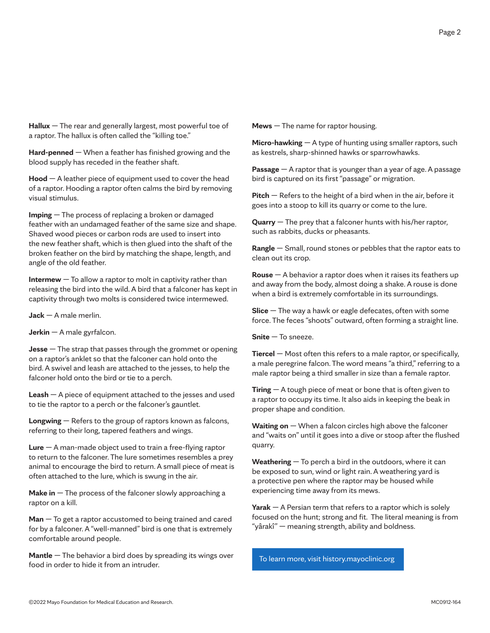**Hallux** — The rear and generally largest, most powerful toe of a raptor. The hallux is often called the "killing toe."

**Hard-penned** — When a feather has finished growing and the blood supply has receded in the feather shaft.

**Hood** — A leather piece of equipment used to cover the head of a raptor. Hooding a raptor often calms the bird by removing visual stimulus.

**Imping** — The process of replacing a broken or damaged feather with an undamaged feather of the same size and shape. Shaved wood pieces or carbon rods are used to insert into the new feather shaft, which is then glued into the shaft of the broken feather on the bird by matching the shape, length, and angle of the old feather.

**Intermew** — To allow a raptor to molt in captivity rather than releasing the bird into the wild. A bird that a falconer has kept in captivity through two molts is considered twice intermewed.

**Jack** — A male merlin.

**Jerkin** — A male gyrfalcon.

**Jesse** — The strap that passes through the grommet or opening on a raptor's anklet so that the falconer can hold onto the bird. A swivel and leash are attached to the jesses, to help the falconer hold onto the bird or tie to a perch.

**Leash** — A piece of equipment attached to the jesses and used to tie the raptor to a perch or the falconer's gauntlet.

**Longwing** — Refers to the group of raptors known as falcons, referring to their long, tapered feathers and wings.

**Lure** — A man-made object used to train a free-flying raptor to return to the falconer. The lure sometimes resembles a prey animal to encourage the bird to return. A small piece of meat is often attached to the lure, which is swung in the air.

**Make in** — The process of the falconer slowly approaching a raptor on a kill.

**Man** — To get a raptor accustomed to being trained and cared for by a falconer. A "well-manned" bird is one that is extremely comfortable around people.

**Mantle** — The behavior a bird does by spreading its wings over food in order to hide it from an intruder.

**Mews** — The name for raptor housing.

**Micro-hawking** — A type of hunting using smaller raptors, such as kestrels, sharp-shinned hawks or sparrowhawks.

**Passage** — A raptor that is younger than a year of age. A passage bird is captured on its first "passage" or migration.

**Pitch** — Refers to the height of a bird when in the air, before it goes into a stoop to kill its quarry or come to the lure.

**Quarry** — The prey that a falconer hunts with his/her raptor, such as rabbits, ducks or pheasants.

**Rangle** — Small, round stones or pebbles that the raptor eats to clean out its crop.

**Rouse** — A behavior a raptor does when it raises its feathers up and away from the body, almost doing a shake. A rouse is done when a bird is extremely comfortable in its surroundings.

**Slice** — The way a hawk or eagle defecates, often with some force. The feces "shoots" outward, often forming a straight line.

**Snite** — To sneeze.

**Tiercel** — Most often this refers to a male raptor, or specifically, a male peregrine falcon. The word means "a third," referring to a male raptor being a third smaller in size than a female raptor.

**Tiring** — A tough piece of meat or bone that is often given to a raptor to occupy its time. It also aids in keeping the beak in proper shape and condition.

**Waiting on** — When a falcon circles high above the falconer and "waits on" until it goes into a dive or stoop after the flushed quarry.

**Weathering** — To perch a bird in the outdoors, where it can be exposed to sun, wind or light rain. A weathering yard is a protective pen where the raptor may be housed while experiencing time away from its mews.

**Yarak** — A Persian term that refers to a raptor which is solely focused on the hunt; strong and fit. The literal meaning is from "yârakî" — meaning strength, ability and boldness.

To learn more, visit [history.mayoclinic.org](http://history.mayoclinic.org)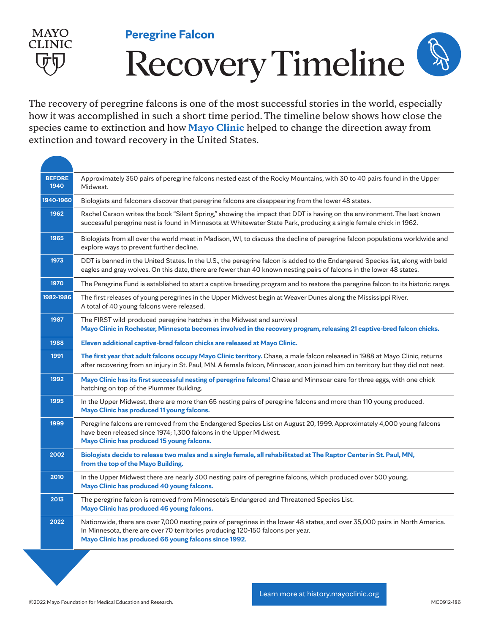

**Peregrine Falcon**

## Recovery Timeline

The recovery of peregrine falcons is one of the most successful stories in the world, especially how it was accomplished in such a short time period. The timeline below shows how close the species came to extinction and how Mayo Clinic helped to change the direction away from extinction and toward recovery in the United States.

| <b>BEFORE</b><br>1940 | Approximately 350 pairs of peregrine falcons nested east of the Rocky Mountains, with 30 to 40 pairs found in the Upper<br>Midwest.                                                                                                                                      |
|-----------------------|--------------------------------------------------------------------------------------------------------------------------------------------------------------------------------------------------------------------------------------------------------------------------|
| 1940-1960             | Biologists and falconers discover that peregrine falcons are disappearing from the lower 48 states.                                                                                                                                                                      |
| 1962                  | Rachel Carson writes the book "Silent Spring," showing the impact that DDT is having on the environment. The last known<br>successful peregrine nest is found in Minnesota at Whitewater State Park, producing a single female chick in 1962.                            |
| 1965                  | Biologists from all over the world meet in Madison, WI, to discuss the decline of peregrine falcon populations worldwide and<br>explore ways to prevent further decline.                                                                                                 |
| 1973                  | DDT is banned in the United States. In the U.S., the peregrine falcon is added to the Endangered Species list, along with bald<br>eagles and gray wolves. On this date, there are fewer than 40 known nesting pairs of falcons in the lower 48 states.                   |
| 1970                  | The Peregrine Fund is established to start a captive breeding program and to restore the peregrine falcon to its historic range.                                                                                                                                         |
| 1982-1986             | The first releases of young peregrines in the Upper Midwest begin at Weaver Dunes along the Mississippi River.<br>A total of 40 young falcons were released.                                                                                                             |
| 1987                  | The FIRST wild-produced peregrine hatches in the Midwest and survives!<br>Mayo Clinic in Rochester, Minnesota becomes involved in the recovery program, releasing 21 captive-bred falcon chicks.                                                                         |
| 1988                  | Eleven additional captive-bred falcon chicks are released at Mayo Clinic.                                                                                                                                                                                                |
| 1991                  | The first year that adult falcons occupy Mayo Clinic territory. Chase, a male falcon released in 1988 at Mayo Clinic, returns<br>after recovering from an injury in St. Paul, MN. A female falcon, Minnsoar, soon joined him on territory but they did not nest.         |
| 1992                  | Mayo Clinic has its first successful nesting of peregrine falcons! Chase and Minnsoar care for three eggs, with one chick<br>hatching on top of the Plummer Building.                                                                                                    |
| 1995                  | In the Upper Midwest, there are more than 65 nesting pairs of peregrine falcons and more than 110 young produced.<br>Mayo Clinic has produced 11 young falcons.                                                                                                          |
| 1999                  | Peregrine falcons are removed from the Endangered Species List on August 20, 1999. Approximately 4,000 young falcons<br>have been released since 1974; 1,300 falcons in the Upper Midwest.<br>Mayo Clinic has produced 15 young falcons.                                 |
| 2002                  | Biologists decide to release two males and a single female, all rehabilitated at The Raptor Center in St. Paul, MN,<br>from the top of the Mayo Building.                                                                                                                |
| 2010                  | In the Upper Midwest there are nearly 300 nesting pairs of peregrine falcons, which produced over 500 young.<br>Mayo Clinic has produced 40 young falcons.                                                                                                               |
| 2013                  | The peregrine falcon is removed from Minnesota's Endangered and Threatened Species List.<br>Mayo Clinic has produced 46 young falcons.                                                                                                                                   |
| 2022                  | Nationwide, there are over 7,000 nesting pairs of peregrines in the lower 48 states, and over 35,000 pairs in North America.<br>In Minnesota, there are over 70 territories producing 120-150 falcons per year.<br>Mayo Clinic has produced 66 young falcons since 1992. |
|                       |                                                                                                                                                                                                                                                                          |